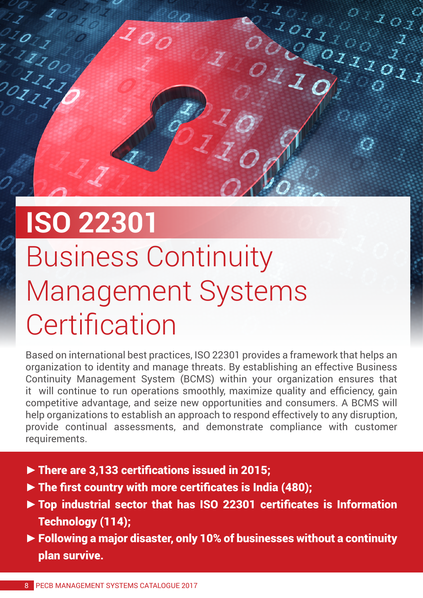## **ISO 22301** Business Continuity Management Systems **Certification**

200

 $\frac{2}{2}$ O

 $\frac{Z}{Z}$ 

 $\frac{1}{2}$ 

Based on international best practices, ISO 22301 provides a framework that helps an organization to identity and manage threats. By establishing an effective Business Continuity Management System (BCMS) within your organization ensures that it will continue to run operations smoothly, maximize quality and efficiency, gain competitive advantage, and seize new opportunities and consumers. A BCMS will help organizations to establish an approach to respond effectively to any disruption, provide continual assessments, and demonstrate compliance with customer requirements.

 $\circ$   $\mathcal{Z}_{\mathcal{O} \chi}$ 

 $\frac{1}{2}$ 

 $\frac{1011100}{100}$ 

- **►**There are 3,133 certifications issued in 2015;
- **►**The first country with more certificates is India (480);
- **►**Top industrial sector that has ISO 22301 certificates is Information Technology (114);
- **►**Following a major disaster, only 10% of businesses without a continuity plan survive.